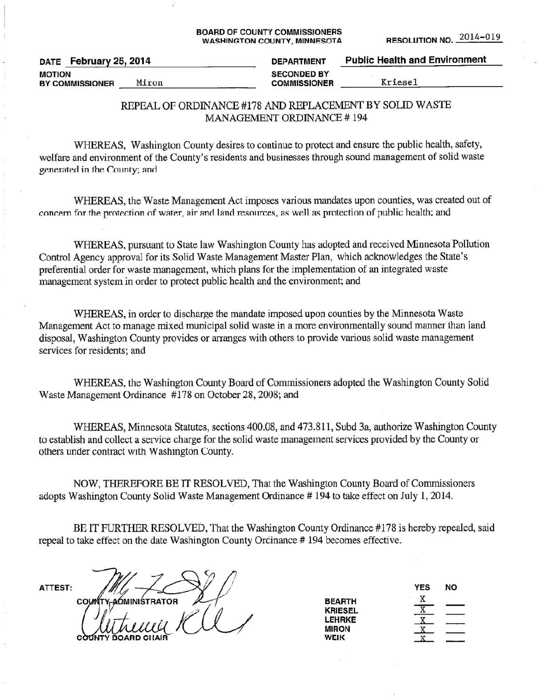#### **BOARD OF COUNTY COMMISSIONERS WASHINGTON COUNTY, MINNESOTA**

| February 25, 2014<br><b>DATE</b> | <b>DEPARTMENT</b>   | <b>Public Health and Environment</b> |
|----------------------------------|---------------------|--------------------------------------|
| <b>MOTION</b>                    | <b>SECONDED BY</b>  |                                      |
| Miron<br><b>BY COMMISSIONER</b>  | <b>COMMISSIONER</b> | Kriesel                              |

### REPEAL OF ORDINANCE #178 AND REPLACEMENT BY SOLID WASTE **MANAGEMENT ORDINANCE #194**

WHEREAS, Washington County desires to continue to protect and ensure the public health, safety, welfare and environment of the County's residents and businesses through sound management of solid waste generated in the County; and

WHEREAS, the Waste Management Act imposes various mandates upon counties, was created out of concern for the protection of water, air and land resources, as well as protection of public health; and

WHEREAS, pursuant to State law Washington County has adopted and received Minnesota Pollution Control Agency approval for its Solid Waste Management Master Plan, which acknowledges the State's preferential order for waste management, which plans for the implementation of an integrated waste management system in order to protect public health and the environment; and

WHEREAS, in order to discharge the mandate imposed upon counties by the Minnesota Waste Management Act to manage mixed municipal solid waste in a more environmentally sound manner than land disposal, Washington County provides or arranges with others to provide various solid waste management services for residents: and

WHEREAS, the Washington County Board of Commissioners adopted the Washington County Solid Waste Management Ordinance #178 on October 28, 2008; and

WHEREAS, Minnesota Statutes, sections 400.08, and 473.811, Subd 3a, authorize Washington County to establish and collect a service charge for the solid waste management services provided by the County or others under contract with Washington County.

NOW, THEREFORE BE IT RESOLVED, That the Washington County Board of Commissioners adopts Washington County Solid Waste Management Ordinance #194 to take effect on July 1, 2014.

BE IT FURTHER RESOLVED, That the Washington County Ordinance #178 is hereby repealed, said repeal to take effect on the date Washington County Ordinance #194 becomes effective.

ATTEST:

COUNTY-AOMINISTRATOR

|                | YES | NΟ |
|----------------|-----|----|
| <b>BEARTH</b>  | х   |    |
| <b>KRIESEL</b> |     |    |
| <b>LEHRKE</b>  |     |    |
| <b>MIRON</b>   |     |    |
| WEIK           |     |    |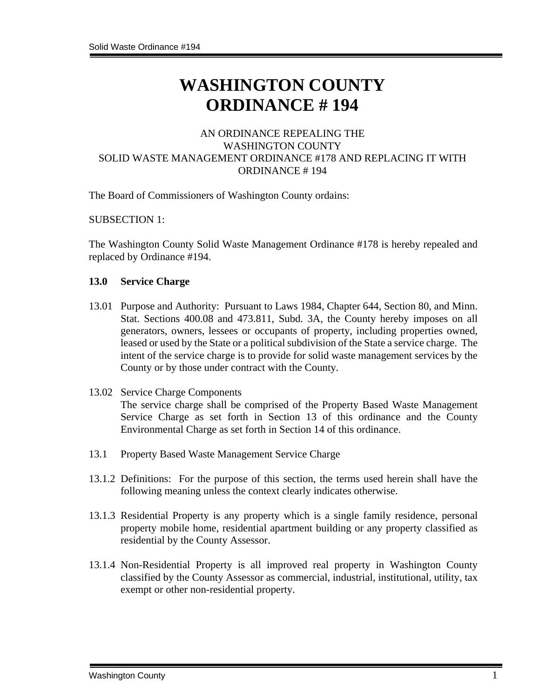# **WASHINGTON COUNTY ORDINANCE # 194**

# AN ORDINANCE REPEALING THE WASHINGTON COUNTY SOLID WASTE MANAGEMENT ORDINANCE #178 AND REPLACING IT WITH ORDINANCE # 194

The Board of Commissioners of Washington County ordains:

#### SUBSECTION 1:

The Washington County Solid Waste Management Ordinance #178 is hereby repealed and replaced by Ordinance #194.

#### **13.0 Service Charge**

- 13.01 Purpose and Authority: Pursuant to Laws 1984, Chapter 644, Section 80, and Minn. Stat. Sections 400.08 and 473.811, Subd. 3A, the County hereby imposes on all generators, owners, lessees or occupants of property, including properties owned, leased or used by the State or a political subdivision of the State a service charge. The intent of the service charge is to provide for solid waste management services by the County or by those under contract with the County.
- 13.02 Service Charge Components The service charge shall be comprised of the Property Based Waste Management Service Charge as set forth in Section 13 of this ordinance and the County Environmental Charge as set forth in Section 14 of this ordinance.
- 13.1 Property Based Waste Management Service Charge
- 13.1.2 Definitions: For the purpose of this section, the terms used herein shall have the following meaning unless the context clearly indicates otherwise.
- 13.1.3 Residential Property is any property which is a single family residence, personal property mobile home, residential apartment building or any property classified as residential by the County Assessor.
- 13.1.4 Non-Residential Property is all improved real property in Washington County classified by the County Assessor as commercial, industrial, institutional, utility, tax exempt or other non-residential property.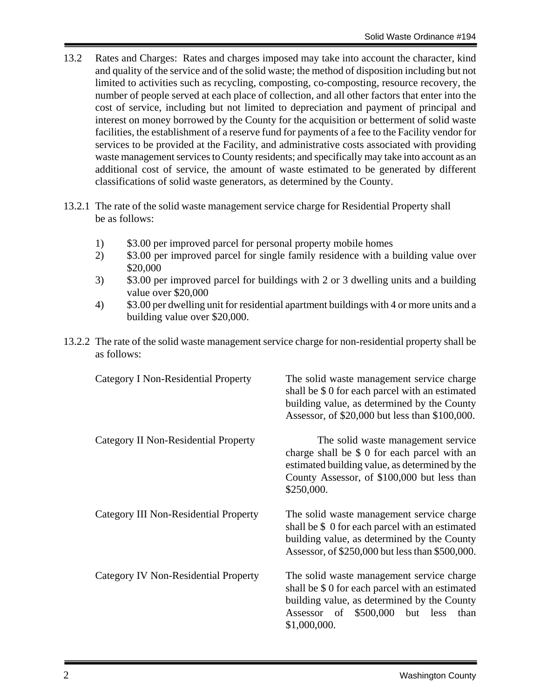- 13.2 Rates and Charges: Rates and charges imposed may take into account the character, kind and quality of the service and of the solid waste; the method of disposition including but not limited to activities such as recycling, composting, co-composting, resource recovery, the number of people served at each place of collection, and all other factors that enter into the cost of service, including but not limited to depreciation and payment of principal and interest on money borrowed by the County for the acquisition or betterment of solid waste facilities, the establishment of a reserve fund for payments of a fee to the Facility vendor for services to be provided at the Facility, and administrative costs associated with providing waste management services to County residents; and specifically may take into account as an additional cost of service, the amount of waste estimated to be generated by different classifications of solid waste generators, as determined by the County.
- 13.2.1 The rate of the solid waste management service charge for Residential Property shall be as follows:
	- 1) \$3.00 per improved parcel for personal property mobile homes
	- 2) \$3.00 per improved parcel for single family residence with a building value over \$20,000
	- 3) \$3.00 per improved parcel for buildings with 2 or 3 dwelling units and a building value over \$20,000
	- 4) \$3.00 per dwelling unit for residential apartment buildings with 4 or more units and a building value over \$20,000.
- 13.2.2 The rate of the solid waste management service charge for non-residential property shall be as follows:

| Category I Non-Residential Property   | The solid waste management service charge<br>shall be \$ 0 for each parcel with an estimated<br>building value, as determined by the County<br>Assessor, of \$20,000 but less than \$100,000.               |
|---------------------------------------|-------------------------------------------------------------------------------------------------------------------------------------------------------------------------------------------------------------|
| Category II Non-Residential Property  | The solid waste management service<br>charge shall be \$ 0 for each parcel with an<br>estimated building value, as determined by the<br>County Assessor, of \$100,000 but less than<br>\$250,000.           |
| Category III Non-Residential Property | The solid waste management service charge<br>shall be \$ 0 for each parcel with an estimated<br>building value, as determined by the County<br>Assessor, of \$250,000 but less than \$500,000.              |
| Category IV Non-Residential Property  | The solid waste management service charge<br>shall be \$ 0 for each parcel with an estimated<br>building value, as determined by the County<br>\$500,000<br>but less<br>Assessor of<br>than<br>\$1,000,000. |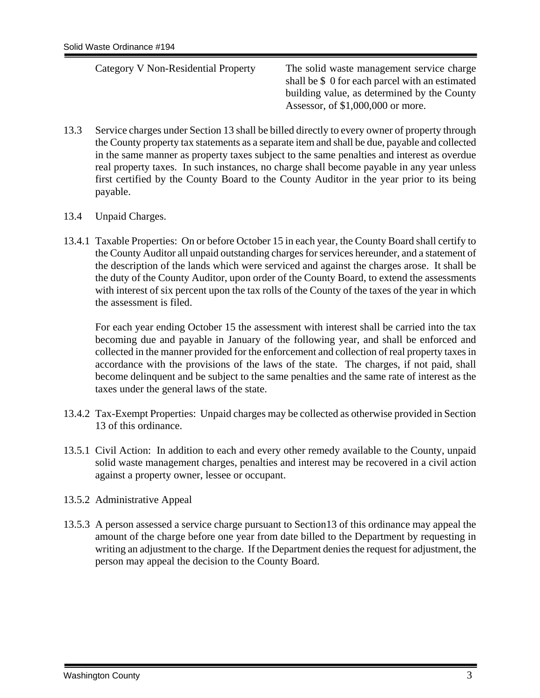| Category V Non-Residential Property | The solid waste management service charge       |
|-------------------------------------|-------------------------------------------------|
|                                     | shall be \$ 0 for each parcel with an estimated |
|                                     | building value, as determined by the County     |
|                                     | Assessor, of $$1,000,000$ or more.              |
|                                     |                                                 |

- 13.3 Service charges under Section 13 shall be billed directly to every owner of property through the County property tax statements as a separate item and shall be due, payable and collected in the same manner as property taxes subject to the same penalties and interest as overdue real property taxes. In such instances, no charge shall become payable in any year unless first certified by the County Board to the County Auditor in the year prior to its being payable.
- 13.4 Unpaid Charges.
- 13.4.1 Taxable Properties: On or before October 15 in each year, the County Board shall certify to the County Auditor all unpaid outstanding charges for services hereunder, and a statement of the description of the lands which were serviced and against the charges arose. It shall be the duty of the County Auditor, upon order of the County Board, to extend the assessments with interest of six percent upon the tax rolls of the County of the taxes of the year in which the assessment is filed.

For each year ending October 15 the assessment with interest shall be carried into the tax becoming due and payable in January of the following year, and shall be enforced and collected in the manner provided for the enforcement and collection of real property taxes in accordance with the provisions of the laws of the state. The charges, if not paid, shall become delinquent and be subject to the same penalties and the same rate of interest as the taxes under the general laws of the state.

- 13.4.2 Tax-Exempt Properties: Unpaid charges may be collected as otherwise provided in Section 13 of this ordinance.
- 13.5.1 Civil Action: In addition to each and every other remedy available to the County, unpaid solid waste management charges, penalties and interest may be recovered in a civil action against a property owner, lessee or occupant.
- 13.5.2 Administrative Appeal
- 13.5.3 A person assessed a service charge pursuant to Section13 of this ordinance may appeal the amount of the charge before one year from date billed to the Department by requesting in writing an adjustment to the charge. If the Department denies the request for adjustment, the person may appeal the decision to the County Board.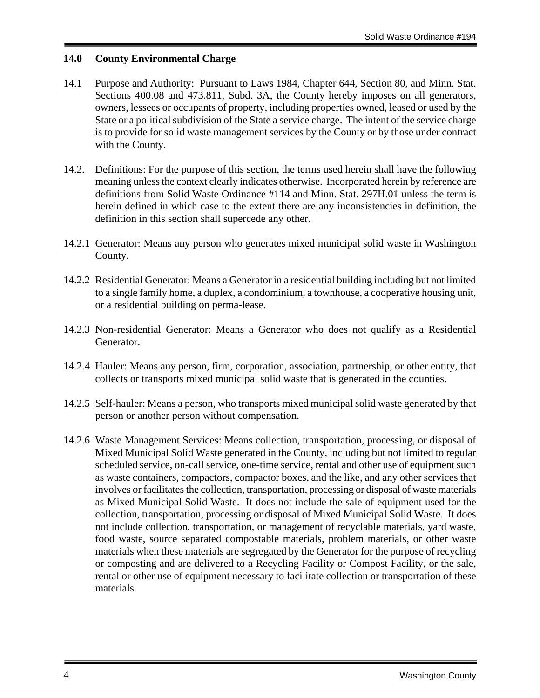# **14.0 County Environmental Charge**

- 14.1 Purpose and Authority: Pursuant to Laws 1984, Chapter 644, Section 80, and Minn. Stat. Sections 400.08 and 473.811, Subd. 3A, the County hereby imposes on all generators, owners, lessees or occupants of property, including properties owned, leased or used by the State or a political subdivision of the State a service charge. The intent of the service charge is to provide for solid waste management services by the County or by those under contract with the County.
- 14.2. Definitions: For the purpose of this section, the terms used herein shall have the following meaning unless the context clearly indicates otherwise. Incorporated herein by reference are definitions from Solid Waste Ordinance #114 and Minn. Stat. 297H.01 unless the term is herein defined in which case to the extent there are any inconsistencies in definition, the definition in this section shall supercede any other.
- 14.2.1 Generator: Means any person who generates mixed municipal solid waste in Washington County.
- 14.2.2 Residential Generator: Means a Generator in a residential building including but not limited to a single family home, a duplex, a condominium, a townhouse, a cooperative housing unit, or a residential building on perma-lease.
- 14.2.3 Non-residential Generator: Means a Generator who does not qualify as a Residential Generator.
- 14.2.4 Hauler: Means any person, firm, corporation, association, partnership, or other entity, that collects or transports mixed municipal solid waste that is generated in the counties.
- 14.2.5 Self-hauler: Means a person, who transports mixed municipal solid waste generated by that person or another person without compensation.
- 14.2.6 Waste Management Services: Means collection, transportation, processing, or disposal of Mixed Municipal Solid Waste generated in the County, including but not limited to regular scheduled service, on-call service, one-time service, rental and other use of equipment such as waste containers, compactors, compactor boxes, and the like, and any other services that involves or facilitates the collection, transportation, processing or disposal of waste materials as Mixed Municipal Solid Waste. It does not include the sale of equipment used for the collection, transportation, processing or disposal of Mixed Municipal Solid Waste. It does not include collection, transportation, or management of recyclable materials, yard waste, food waste, source separated compostable materials, problem materials, or other waste materials when these materials are segregated by the Generator for the purpose of recycling or composting and are delivered to a Recycling Facility or Compost Facility, or the sale, rental or other use of equipment necessary to facilitate collection or transportation of these materials.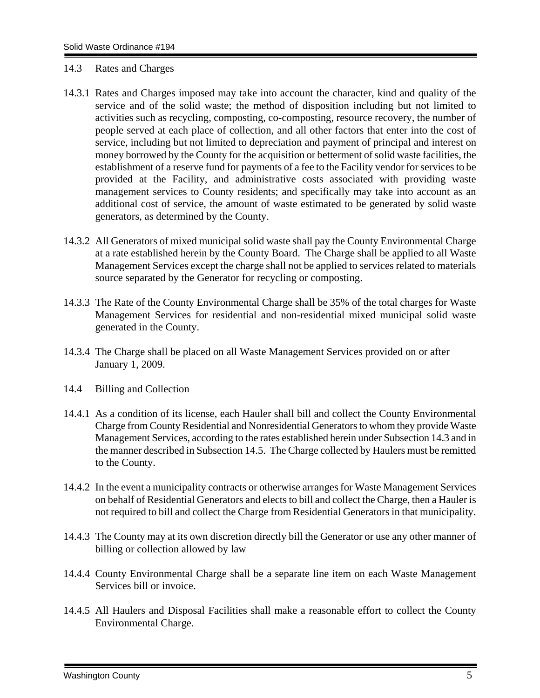#### 14.3 Rates and Charges

- 14.3.1 Rates and Charges imposed may take into account the character, kind and quality of the service and of the solid waste; the method of disposition including but not limited to activities such as recycling, composting, co-composting, resource recovery, the number of people served at each place of collection, and all other factors that enter into the cost of service, including but not limited to depreciation and payment of principal and interest on money borrowed by the County for the acquisition or betterment of solid waste facilities, the establishment of a reserve fund for payments of a fee to the Facility vendor for services to be provided at the Facility, and administrative costs associated with providing waste management services to County residents; and specifically may take into account as an additional cost of service, the amount of waste estimated to be generated by solid waste generators, as determined by the County.
- 14.3.2 All Generators of mixed municipal solid waste shall pay the County Environmental Charge at a rate established herein by the County Board. The Charge shall be applied to all Waste Management Services except the charge shall not be applied to services related to materials source separated by the Generator for recycling or composting.
- 14.3.3 The Rate of the County Environmental Charge shall be 35% of the total charges for Waste Management Services for residential and non-residential mixed municipal solid waste generated in the County.
- 14.3.4 The Charge shall be placed on all Waste Management Services provided on or after January 1, 2009.
- 14.4 Billing and Collection
- 14.4.1 As a condition of its license, each Hauler shall bill and collect the County Environmental Charge from County Residential and Nonresidential Generators to whom they provide Waste Management Services, according to the rates established herein under Subsection 14.3 and in the manner described in Subsection 14.5. The Charge collected by Haulers must be remitted to the County.
- 14.4.2 In the event a municipality contracts or otherwise arranges for Waste Management Services on behalf of Residential Generators and elects to bill and collect the Charge, then a Hauler is not required to bill and collect the Charge from Residential Generators in that municipality.
- 14.4.3 The County may at its own discretion directly bill the Generator or use any other manner of billing or collection allowed by law
- 14.4.4 County Environmental Charge shall be a separate line item on each Waste Management Services bill or invoice.
- 14.4.5 All Haulers and Disposal Facilities shall make a reasonable effort to collect the County Environmental Charge.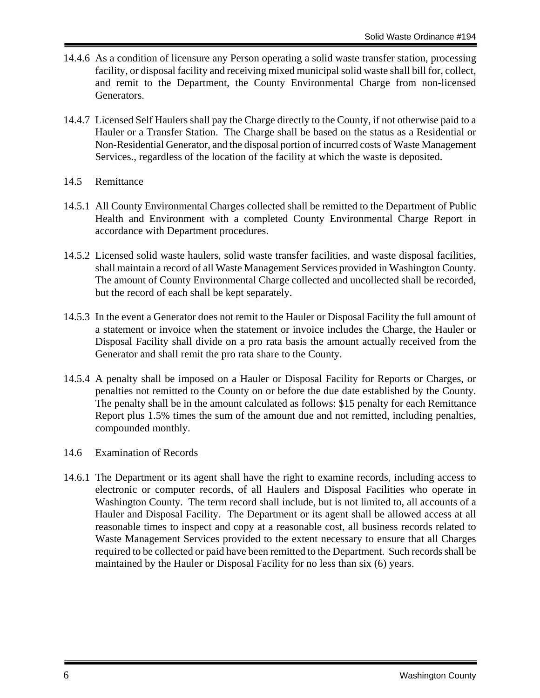- 14.4.6 As a condition of licensure any Person operating a solid waste transfer station, processing facility, or disposal facility and receiving mixed municipal solid waste shall bill for, collect, and remit to the Department, the County Environmental Charge from non-licensed Generators.
- 14.4.7 Licensed Self Haulers shall pay the Charge directly to the County, if not otherwise paid to a Hauler or a Transfer Station. The Charge shall be based on the status as a Residential or Non-Residential Generator, and the disposal portion of incurred costs of Waste Management Services., regardless of the location of the facility at which the waste is deposited.
- 14.5 Remittance
- 14.5.1 All County Environmental Charges collected shall be remitted to the Department of Public Health and Environment with a completed County Environmental Charge Report in accordance with Department procedures.
- 14.5.2 Licensed solid waste haulers, solid waste transfer facilities, and waste disposal facilities, shall maintain a record of all Waste Management Services provided in Washington County. The amount of County Environmental Charge collected and uncollected shall be recorded, but the record of each shall be kept separately.
- 14.5.3 In the event a Generator does not remit to the Hauler or Disposal Facility the full amount of a statement or invoice when the statement or invoice includes the Charge, the Hauler or Disposal Facility shall divide on a pro rata basis the amount actually received from the Generator and shall remit the pro rata share to the County.
- 14.5.4 A penalty shall be imposed on a Hauler or Disposal Facility for Reports or Charges, or penalties not remitted to the County on or before the due date established by the County. The penalty shall be in the amount calculated as follows: \$15 penalty for each Remittance Report plus 1.5% times the sum of the amount due and not remitted, including penalties, compounded monthly.
- 14.6 Examination of Records
- 14.6.1 The Department or its agent shall have the right to examine records, including access to electronic or computer records, of all Haulers and Disposal Facilities who operate in Washington County. The term record shall include, but is not limited to, all accounts of a Hauler and Disposal Facility. The Department or its agent shall be allowed access at all reasonable times to inspect and copy at a reasonable cost, all business records related to Waste Management Services provided to the extent necessary to ensure that all Charges required to be collected or paid have been remitted to the Department. Such records shall be maintained by the Hauler or Disposal Facility for no less than six (6) years.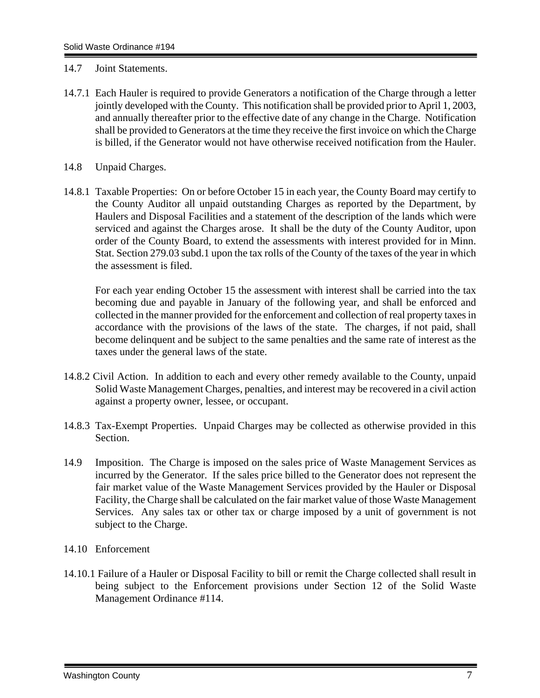- 14.7 Joint Statements.
- 14.7.1 Each Hauler is required to provide Generators a notification of the Charge through a letter jointly developed with the County. This notification shall be provided prior to April 1, 2003, and annually thereafter prior to the effective date of any change in the Charge. Notification shall be provided to Generators at the time they receive the first invoice on which the Charge is billed, if the Generator would not have otherwise received notification from the Hauler.
- 14.8 Unpaid Charges.
- 14.8.1 Taxable Properties: On or before October 15 in each year, the County Board may certify to the County Auditor all unpaid outstanding Charges as reported by the Department, by Haulers and Disposal Facilities and a statement of the description of the lands which were serviced and against the Charges arose. It shall be the duty of the County Auditor, upon order of the County Board, to extend the assessments with interest provided for in Minn. Stat. Section 279.03 subd.1 upon the tax rolls of the County of the taxes of the year in which the assessment is filed.

 For each year ending October 15 the assessment with interest shall be carried into the tax becoming due and payable in January of the following year, and shall be enforced and collected in the manner provided for the enforcement and collection of real property taxes in accordance with the provisions of the laws of the state. The charges, if not paid, shall become delinquent and be subject to the same penalties and the same rate of interest as the taxes under the general laws of the state.

- 14.8.2 Civil Action. In addition to each and every other remedy available to the County, unpaid Solid Waste Management Charges, penalties, and interest may be recovered in a civil action against a property owner, lessee, or occupant.
- 14.8.3 Tax-Exempt Properties. Unpaid Charges may be collected as otherwise provided in this Section.
- 14.9 Imposition. The Charge is imposed on the sales price of Waste Management Services as incurred by the Generator. If the sales price billed to the Generator does not represent the fair market value of the Waste Management Services provided by the Hauler or Disposal Facility, the Charge shall be calculated on the fair market value of those Waste Management Services. Any sales tax or other tax or charge imposed by a unit of government is not subject to the Charge.
- 14.10 Enforcement
- 14.10.1 Failure of a Hauler or Disposal Facility to bill or remit the Charge collected shall result in being subject to the Enforcement provisions under Section 12 of the Solid Waste Management Ordinance #114.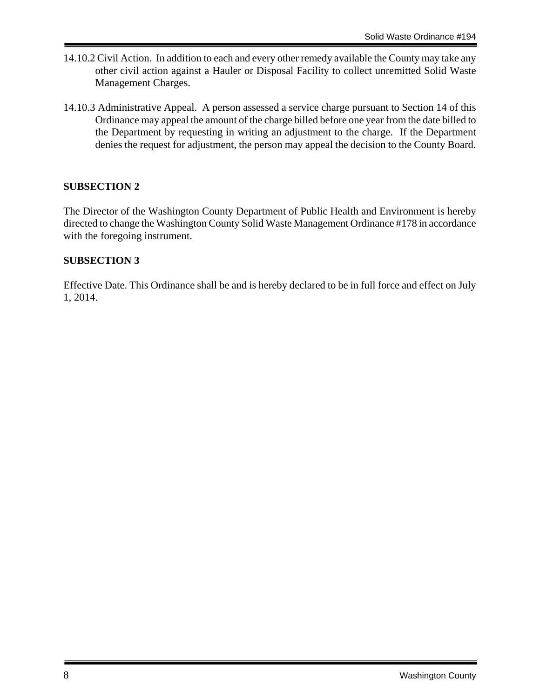- 14.10.2 Civil Action. In addition to each and every other remedy available the County may take any other civil action against a Hauler or Disposal Facility to collect unremitted Solid Waste Management Charges.
- 14.10.3 Administrative Appeal. A person assessed a service charge pursuant to Section 14 of this Ordinance may appeal the amount of the charge billed before one year from the date billed to the Department by requesting in writing an adjustment to the charge. If the Department denies the request for adjustment, the person may appeal the decision to the County Board.

# **SUBSECTION 2**

The Director of the Washington County Department of Public Health and Environment is hereby directed to change the Washington County Solid Waste Management Ordinance #178 in accordance with the foregoing instrument.

# **SUBSECTION 3**

Effective Date. This Ordinance shall be and is hereby declared to be in full force and effect on July 1, 2014.